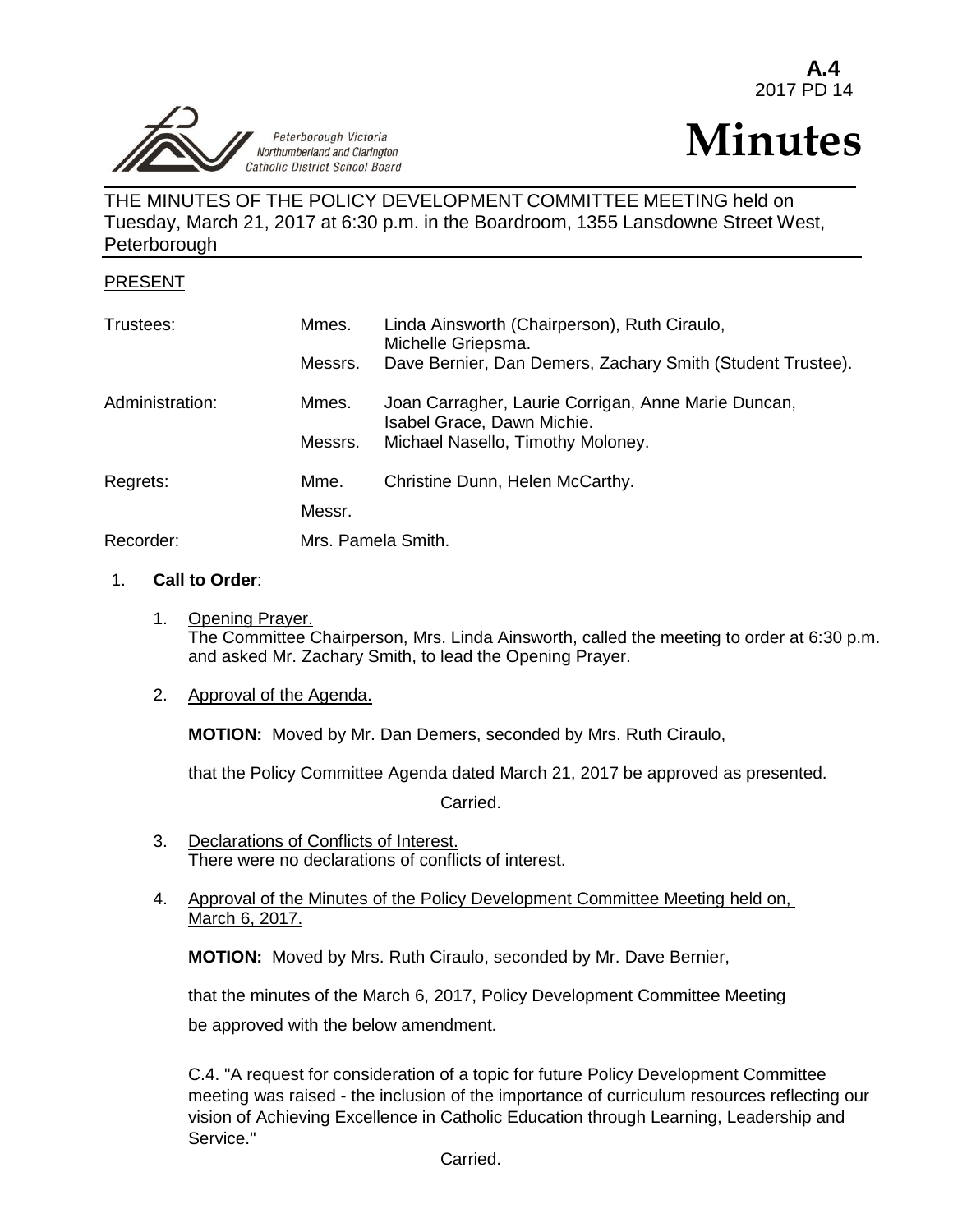Peterborough Victoria Northumberland and Clarington Catholic District School Board  $\overline{a}$ 

## **A.4** 2017 PD 14

# **Minutes**

THE MINUTES OF THE POLICY DEVELOPMENT COMMITTEE MEETING held on Tuesday, March 21, 2017 at 6:30 p.m. in the Boardroom, 1355 Lansdowne Street West, **Peterborough** 

## PRESENT

| Trustees:       | Mmes.<br>Messrs.   | Linda Ainsworth (Chairperson), Ruth Ciraulo,<br>Michelle Griepsma.<br>Dave Bernier, Dan Demers, Zachary Smith (Student Trustee). |
|-----------------|--------------------|----------------------------------------------------------------------------------------------------------------------------------|
| Administration: | Mmes.              | Joan Carragher, Laurie Corrigan, Anne Marie Duncan,<br>Isabel Grace, Dawn Michie.                                                |
|                 | Messrs.            | Michael Nasello, Timothy Moloney.                                                                                                |
| Regrets:        | Mme.               | Christine Dunn, Helen McCarthy.                                                                                                  |
|                 | Messr.             |                                                                                                                                  |
| Recorder:       | Mrs. Pamela Smith. |                                                                                                                                  |

#### 1. **Call to Order**:

1. Opening Prayer. The Committee Chairperson, Mrs. Linda Ainsworth, called the meeting to order at 6:30 p.m. and asked Mr. Zachary Smith, to lead the Opening Prayer.

## 2. Approval of the Agenda.

**MOTION:** Moved by Mr. Dan Demers, seconded by Mrs. Ruth Ciraulo,

that the Policy Committee Agenda dated March 21, 2017 be approved as presented.

Carried.

- 3. Declarations of Conflicts of Interest. There were no declarations of conflicts of interest.
- 4. Approval of the Minutes of the Policy Development Committee Meeting held on, March 6, 2017.

**MOTION:** Moved by Mrs. Ruth Ciraulo, seconded by Mr. Dave Bernier,

that the minutes of the March 6, 2017, Policy Development Committee Meeting be approved with the below amendment.

C.4. "A request for consideration of a topic for future Policy Development Committee meeting was raised - the inclusion of the importance of curriculum resources reflecting our vision of Achieving Excellence in Catholic Education through Learning, Leadership and Service."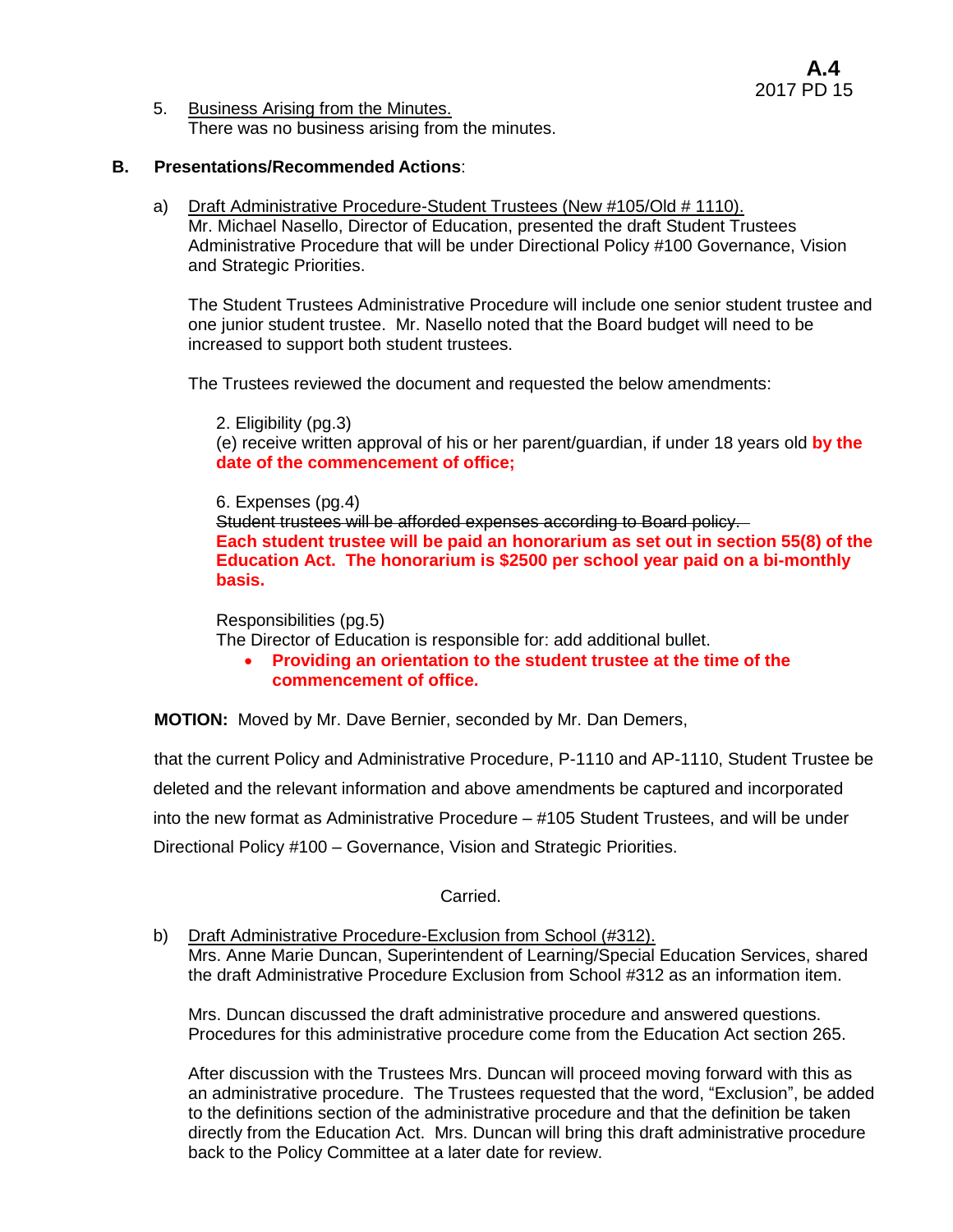5. Business Arising from the Minutes. There was no business arising from the minutes.

## **B. Presentations/Recommended Actions**:

a) Draft Administrative Procedure-Student Trustees (New #105/Old # 1110). Mr. Michael Nasello, Director of Education, presented the draft Student Trustees Administrative Procedure that will be under Directional Policy #100 Governance, Vision and Strategic Priorities.

The Student Trustees Administrative Procedure will include one senior student trustee and one junior student trustee. Mr. Nasello noted that the Board budget will need to be increased to support both student trustees.

The Trustees reviewed the document and requested the below amendments:

2. Eligibility (pg.3) (e) receive written approval of his or her parent/guardian, if under 18 years old **by the date of the commencement of office;**

6. Expenses (pg.4) Student trustees will be afforded expenses according to Board policy. **Each student trustee will be paid an honorarium as set out in section 55(8) of the Education Act. The honorarium is \$2500 per school year paid on a bi-monthly basis.**

Responsibilities (pg.5) The Director of Education is responsible for: add additional bullet.

 **Providing an orientation to the student trustee at the time of the commencement of office.**

**MOTION:** Moved by Mr. Dave Bernier, seconded by Mr. Dan Demers,

that the current Policy and Administrative Procedure, P-1110 and AP-1110, Student Trustee be deleted and the relevant information and above amendments be captured and incorporated into the new format as Administrative Procedure – #105 Student Trustees, and will be under Directional Policy #100 – Governance, Vision and Strategic Priorities.

## Carried.

b) Draft Administrative Procedure-Exclusion from School (#312). Mrs. Anne Marie Duncan, Superintendent of Learning/Special Education Services, shared the draft Administrative Procedure Exclusion from School #312 as an information item.

Mrs. Duncan discussed the draft administrative procedure and answered questions. Procedures for this administrative procedure come from the Education Act section 265.

After discussion with the Trustees Mrs. Duncan will proceed moving forward with this as an administrative procedure. The Trustees requested that the word, "Exclusion", be added to the definitions section of the administrative procedure and that the definition be taken directly from the Education Act. Mrs. Duncan will bring this draft administrative procedure back to the Policy Committee at a later date for review.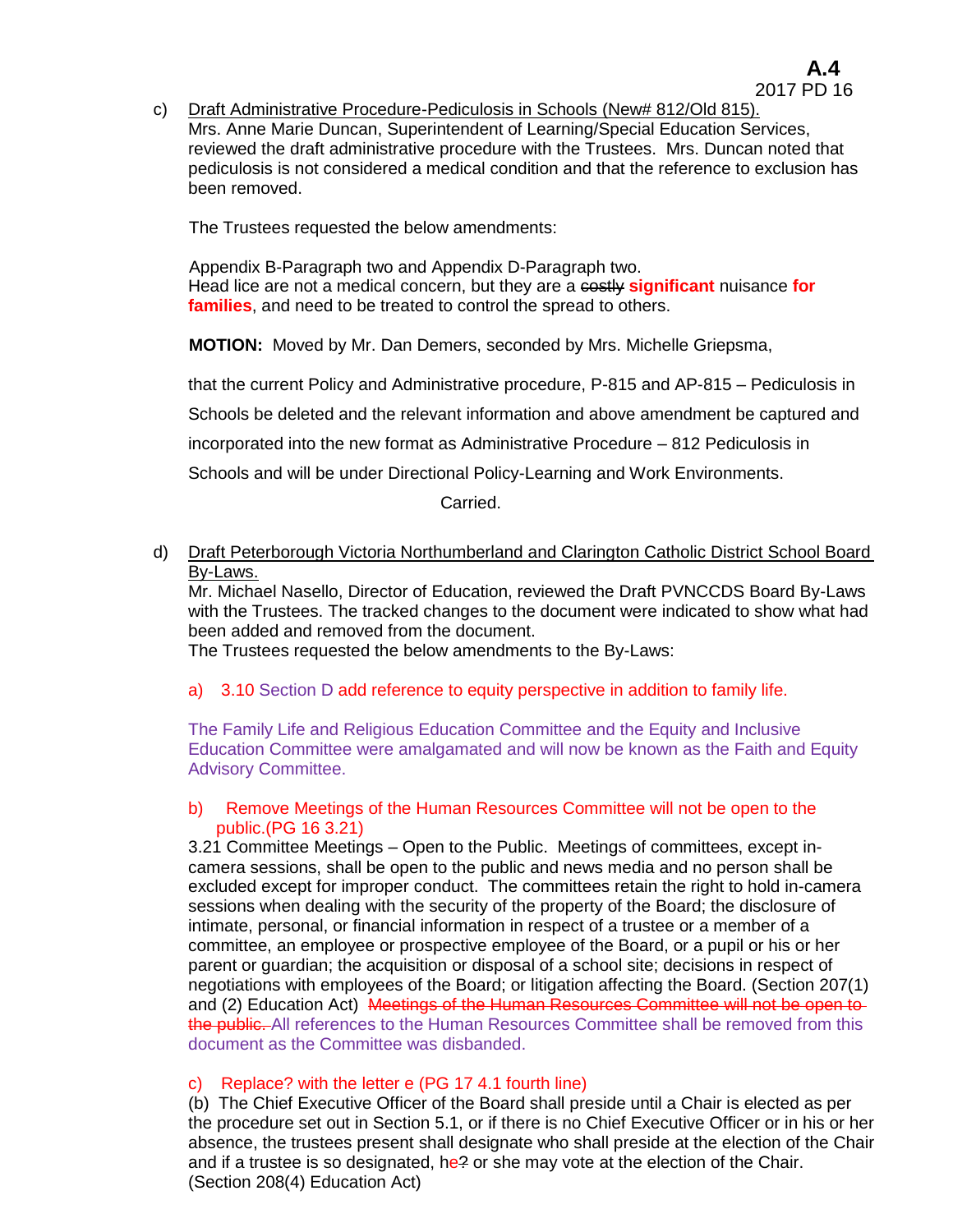c) Draft Administrative Procedure-Pediculosis in Schools (New# 812/Old 815). Mrs. Anne Marie Duncan, Superintendent of Learning/Special Education Services, reviewed the draft administrative procedure with the Trustees. Mrs. Duncan noted that pediculosis is not considered a medical condition and that the reference to exclusion has been removed.

The Trustees requested the below amendments:

 Appendix B-Paragraph two and Appendix D-Paragraph two. Head lice are not a medical concern, but they are a costly **significant** nuisance **for families**, and need to be treated to control the spread to others.

**MOTION:** Moved by Mr. Dan Demers, seconded by Mrs. Michelle Griepsma,

that the current Policy and Administrative procedure, P-815 and AP-815 – Pediculosis in

Schools be deleted and the relevant information and above amendment be captured and

incorporated into the new format as Administrative Procedure – 812 Pediculosis in

Schools and will be under Directional Policy-Learning and Work Environments.

Carried.

d) Draft Peterborough Victoria Northumberland and Clarington Catholic District School Board By-Laws.

Mr. Michael Nasello, Director of Education, reviewed the Draft PVNCCDS Board By-Laws with the Trustees. The tracked changes to the document were indicated to show what had been added and removed from the document.

The Trustees requested the below amendments to the By-Laws:

a) 3.10 Section D add reference to equity perspective in addition to family life.

The Family Life and Religious Education Committee and the Equity and Inclusive Education Committee were amalgamated and will now be known as the Faith and Equity Advisory Committee.

#### b) Remove Meetings of the Human Resources Committee will not be open to the public.(PG 16 3.21)

3.21 Committee Meetings – Open to the Public. Meetings of committees, except incamera sessions, shall be open to the public and news media and no person shall be excluded except for improper conduct. The committees retain the right to hold in-camera sessions when dealing with the security of the property of the Board; the disclosure of intimate, personal, or financial information in respect of a trustee or a member of a committee, an employee or prospective employee of the Board, or a pupil or his or her parent or guardian; the acquisition or disposal of a school site; decisions in respect of negotiations with employees of the Board; or litigation affecting the Board. (Section 207(1) and (2) Education Act) Meetings of the Human Resources Committee will not be open to the public. All references to the Human Resources Committee shall be removed from this document as the Committee was disbanded.

#### c) Replace? with the letter e (PG 17 4.1 fourth line)

(b) The Chief Executive Officer of the Board shall preside until a Chair is elected as per the procedure set out in Section 5.1, or if there is no Chief Executive Officer or in his or her absence, the trustees present shall designate who shall preside at the election of the Chair and if a trustee is so designated, he? or she may vote at the election of the Chair. (Section 208(4) Education Act)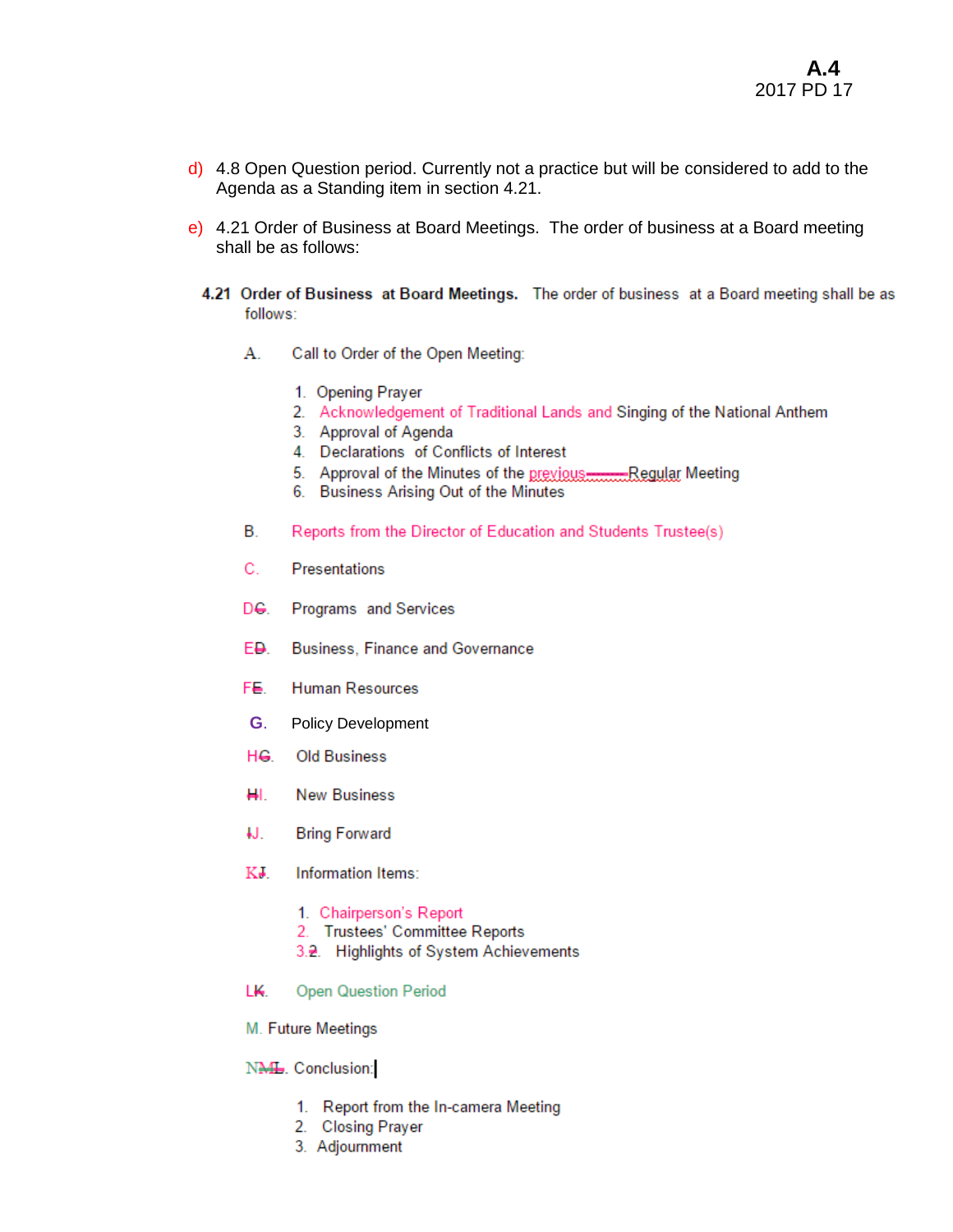- $\frac{d}{d}$  4.8 Open Question period. Currently not a practice but will be considered to add to the Agenda as a Standing item in section 4.21.
- e) 4.21 Order of Business at Board Meetings. The order of business at a Board meeting shall be as follows:
	- 4.21 Order of Business at Board Meetings. The order of business at a Board meeting shall be as follows:
		- А. Call to Order of the Open Meeting:
			- 1. Opening Prayer
			- 2. Acknowledgement of Traditional Lands and Singing of the National Anthem
			- 3. Approval of Agenda
			- 4. Declarations of Conflicts of Interest
			- 5. Approval of the Minutes of the previous........... Regular Meeting
			- 6. Business Arising Out of the Minutes
		- В. Reports from the Director of Education and Students Trustee(s)
		- C. Presentations
		- De. Programs and Services
		- E<del>D</del>. **Business, Finance and Governance**
		- FE. **Human Resources**
		- G. **Policy Development**
		- HG Old Business
		- HL. **New Business**
		- IJ. **Bring Forward**
		- KJ. Information Items:
			- 1. Chairperson's Report
			- 2. Trustees' Committee Reports
			- 3.2. Highlights of System Achievements
		- LK. **Open Question Period**
		- M. Future Meetings

NML. Conclusion:

- 1. Report from the In-camera Meeting
- 2. Closing Prayer
- 3. Adjournment